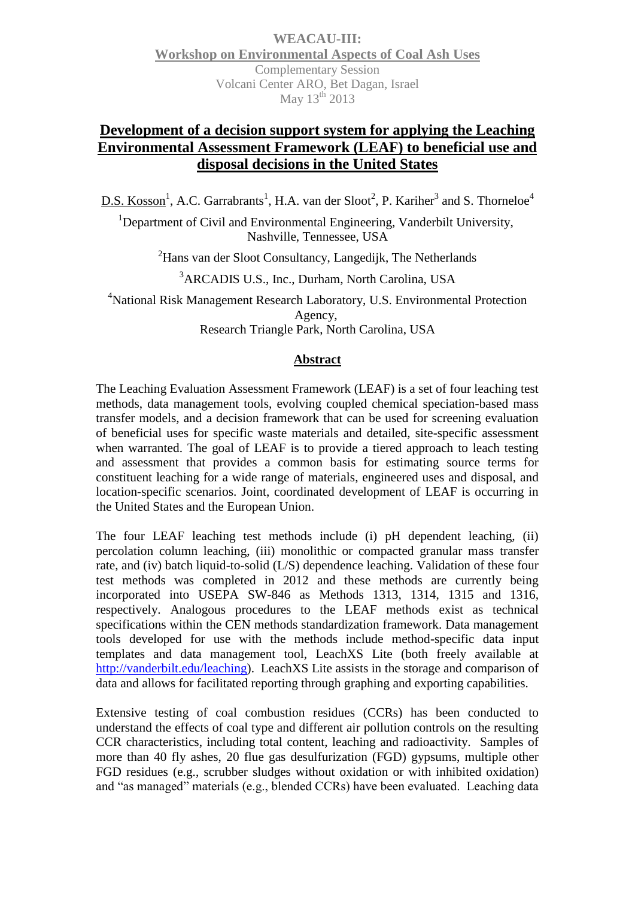**WEACAU-III: Workshop on Environmental Aspects of Coal Ash Uses** Complementary Session Volcani Center ARO, Bet Dagan, Israel May 13<sup>th</sup> 2013

## **Development of a decision support system for applying the Leaching Environmental Assessment Framework (LEAF) to beneficial use and disposal decisions in the United States**

D.S. Kosson<sup>1</sup>, A.C. Garrabrants<sup>1</sup>, H.A. van der Sloot<sup>2</sup>, P. Kariher<sup>3</sup> and S. Thorneloe<sup>4</sup>

<sup>1</sup>Department of Civil and Environmental Engineering, Vanderbilt University, Nashville, Tennessee, USA

<sup>2</sup>Hans van der Sloot Consultancy, Langedijk, The Netherlands

<sup>3</sup>ARCADIS U.S., Inc., Durham, North Carolina, USA

<sup>4</sup>National Risk Management Research Laboratory, U.S. Environmental Protection Agency, Research Triangle Park, North Carolina, USA

## **Abstract**

The Leaching Evaluation Assessment Framework (LEAF) is a set of four leaching test methods, data management tools, evolving coupled chemical speciation-based mass transfer models, and a decision framework that can be used for screening evaluation of beneficial uses for specific waste materials and detailed, site-specific assessment when warranted. The goal of LEAF is to provide a tiered approach to leach testing and assessment that provides a common basis for estimating source terms for constituent leaching for a wide range of materials, engineered uses and disposal, and location-specific scenarios. Joint, coordinated development of LEAF is occurring in the United States and the European Union.

The four LEAF leaching test methods include (i) pH dependent leaching, (ii) percolation column leaching, (iii) monolithic or compacted granular mass transfer rate, and (iv) batch liquid-to-solid (L/S) dependence leaching. Validation of these four test methods was completed in 2012 and these methods are currently being incorporated into USEPA SW-846 as Methods 1313, 1314, 1315 and 1316, respectively. Analogous procedures to the LEAF methods exist as technical specifications within the CEN methods standardization framework. Data management tools developed for use with the methods include method-specific data input templates and data management tool, LeachXS Lite (both freely available at [http://vanderbilt.edu/leaching\)](http://vanderbilt.edu/leaching). LeachXS Lite assists in the storage and comparison of data and allows for facilitated reporting through graphing and exporting capabilities.

Extensive testing of coal combustion residues (CCRs) has been conducted to understand the effects of coal type and different air pollution controls on the resulting CCR characteristics, including total content, leaching and radioactivity. Samples of more than 40 fly ashes, 20 flue gas desulfurization (FGD) gypsums, multiple other FGD residues (e.g., scrubber sludges without oxidation or with inhibited oxidation) and "as managed" materials (e.g., blended CCRs) have been evaluated. Leaching data